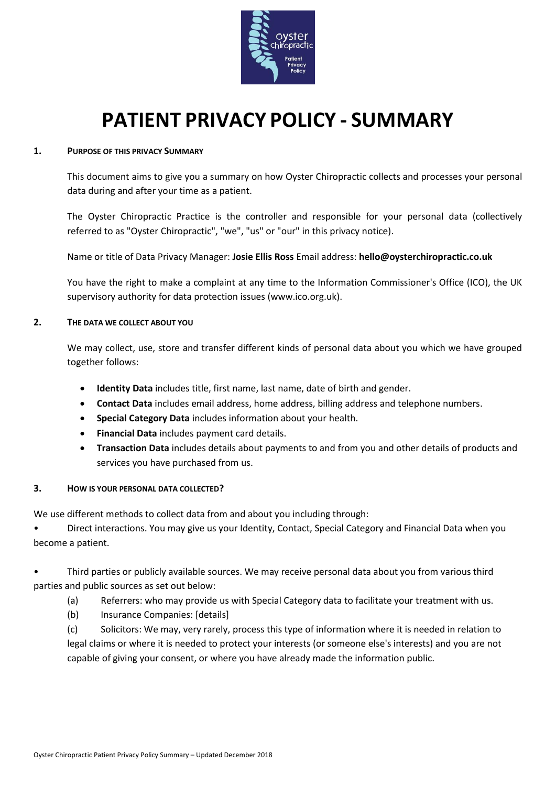

# **PATIENT PRIVACY POLICY - SUMMARY**

## **1. PURPOSE OF THIS PRIVACY SUMMARY**

This document aims to give you a summary on how Oyster Chiropractic collects and processes your personal data during and after your time as a patient.

The Oyster Chiropractic Practice is the controller and responsible for your personal data (collectively referred to as "Oyster Chiropractic", "we", "us" or "our" in this privacy notice).

Name or title of Data Privacy Manager: **Josie Ellis Ross** Email address: **hello@oysterchiropractic.co.uk**

You have the right to make a complaint at any time to the Information Commissioner's Office (ICO), the UK supervisory authority for data protection issues (www.ico.org.uk).

## **2. THE DATA WE COLLECT ABOUT YOU**

We may collect, use, store and transfer different kinds of personal data about you which we have grouped together follows:

- **Identity Data** includes title, first name, last name, date of birth and gender.
- **Contact Data** includes email address, home address, billing address and telephone numbers.
- **Special Category Data** includes information about your health.
- **Financial Data** includes payment card details.
- **Transaction Data** includes details about payments to and from you and other details of products and services you have purchased from us.

## **3. HOW IS YOUR PERSONAL DATA COLLECTED?**

We use different methods to collect data from and about you including through:

• Direct interactions. You may give us your Identity, Contact, Special Category and Financial Data when you become a patient.

• Third parties or publicly available sources. We may receive personal data about you from various third parties and public sources as set out below:

- (a) Referrers: who may provide us with Special Category data to facilitate your treatment with us.
- (b) Insurance Companies: [details]

(c) Solicitors: We may, very rarely, process this type of information where it is needed in relation to legal claims or where it is needed to protect your interests (or someone else's interests) and you are not capable of giving your consent, or where you have already made the information public.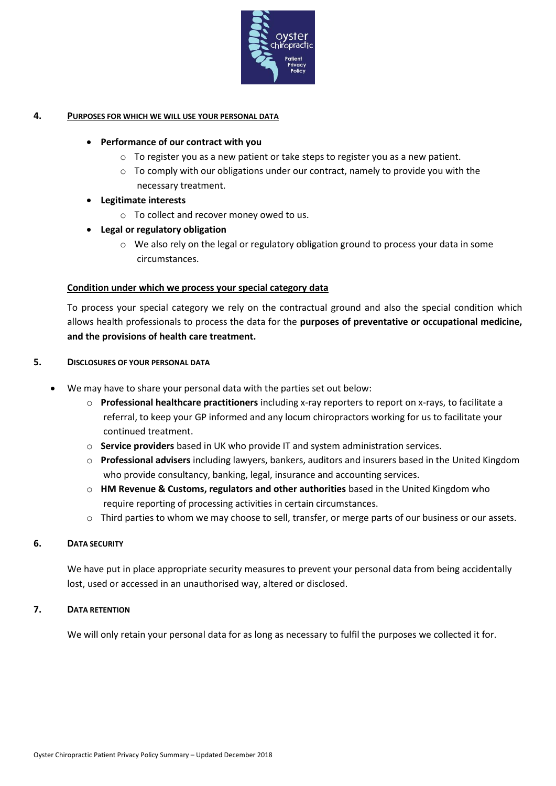

## **4. PURPOSES FOR WHICH WE WILL USE YOUR PERSONAL DATA**

## • **Performance of our contract with you**

- o To register you as a new patient or take steps to register you as a new patient.
- $\circ$  To comply with our obligations under our contract, namely to provide you with the necessary treatment.

## • **Legitimate interests**

o To collect and recover money owed to us.

## • **Legal or regulatory obligation**

 $\circ$  We also rely on the legal or regulatory obligation ground to process your data in some circumstances.

## **Condition under which we process your special category data**

To process your special category we rely on the contractual ground and also the special condition which allows health professionals to process the data for the **purposes of preventative or occupational medicine, and the provisions of health care treatment.** 

## **5. DISCLOSURES OF YOUR PERSONAL DATA**

- We may have to share your personal data with the parties set out below:
	- o **Professional healthcare practitioners** including x-ray reporters to report on x-rays, to facilitate a referral, to keep your GP informed and any locum chiropractors working for us to facilitate your continued treatment.
	- o **Service providers** based in UK who provide IT and system administration services.
	- o **Professional advisers** including lawyers, bankers, auditors and insurers based in the United Kingdom who provide consultancy, banking, legal, insurance and accounting services.
	- o **HM Revenue & Customs, regulators and other authorities** based in the United Kingdom who require reporting of processing activities in certain circumstances.
	- $\circ$  Third parties to whom we may choose to sell, transfer, or merge parts of our business or our assets.

## **6. DATA SECURITY**

We have put in place appropriate security measures to prevent your personal data from being accidentally lost, used or accessed in an unauthorised way, altered or disclosed.

## **7. DATA RETENTION**

We will only retain your personal data for as long as necessary to fulfil the purposes we collected it for.